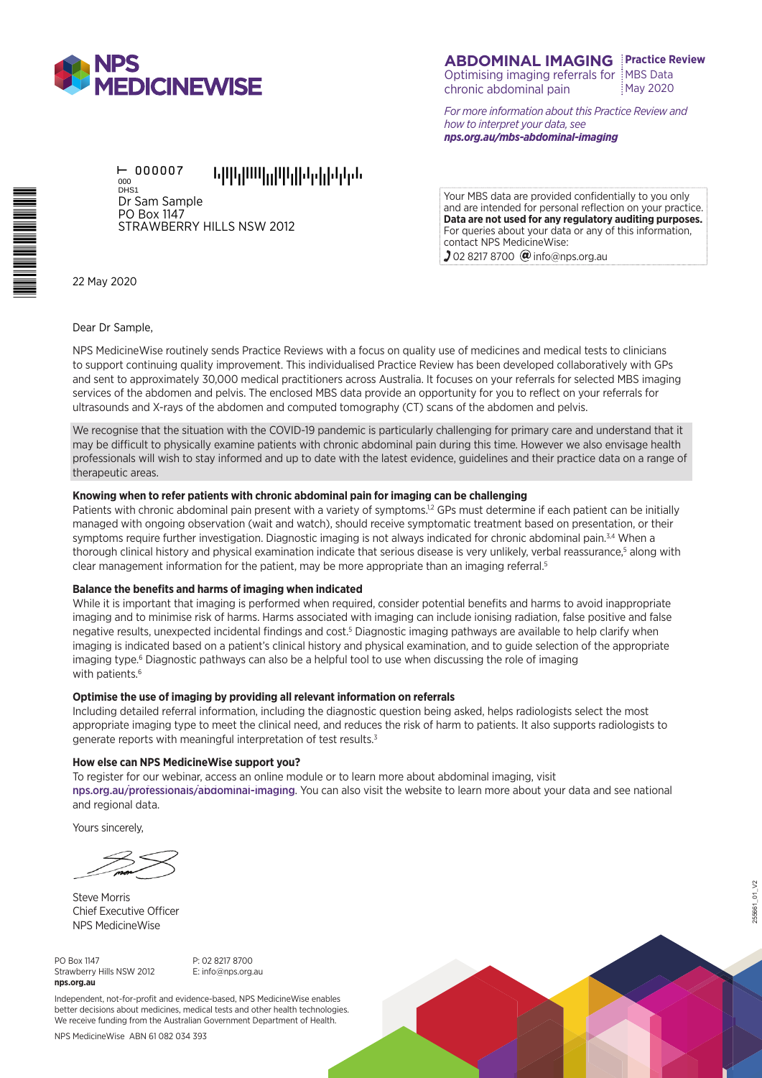

**ABDOMINAL IMAGING Practice Review**

Optimising imaging referrals for chronic abdominal pain

MBS Data May 2020

*For more information about this Practice Review and how to interpret your data, see [nps.org.au/mbs-abdominal-imaging](http://www.nps.org.au/mbs-abdominal-imaging)*

\*L000007\*

#### $-000007$ 1301012011110220101200312302031212313

DH<sub>S1</sub> Dr Sam Sample PO Box 1147 STRAWBERRY HILLS NSW 2012

Your MBS data are provided confidentially to you only and are intended for personal reflection on your practice. **Data are not used for any regulatory auditing purposes.**  For queries about your data or any of this information, contact NPS MedicineWise:  $30282178700$  @ info@nps.org.au

22 May 2020

 $000$ 

Dear Dr Sample,

NPS MedicineWise routinely sends Practice Reviews with a focus on quality use of medicines and medical tests to clinicians to support continuing quality improvement. This individualised Practice Review has been developed collaboratively with GPs and sent to approximately 30,000 medical practitioners across Australia. It focuses on your referrals for selected MBS imaging services of the abdomen and pelvis. The enclosed MBS data provide an opportunity for you to reflect on your referrals for ultrasounds and X-rays of the abdomen and computed tomography (CT) scans of the abdomen and pelvis.

We recognise that the situation with the COVID-19 pandemic is particularly challenging for primary care and understand that it may be difficult to physically examine patients with chronic abdominal pain during this time. However we also envisage health professionals will wish to stay informed and up to date with the latest evidence, guidelines and their practice data on a range of therapeutic areas.

## **Knowing when to refer patients with chronic abdominal pain for imaging can be challenging**

Patients with chronic abdominal pain present with a variety of symptoms.<sup>1,2</sup> GPs must determine if each patient can be initially managed with ongoing observation (wait and watch), should receive symptomatic treatment based on presentation, or their symptoms require further investigation. Diagnostic imaging is not always indicated for chronic abdominal pain.<sup>3,4</sup> When a thorough clinical history and physical examination indicate that serious disease is very unlikely, verbal reassurance,<sup>5</sup> along with clear management information for the patient, may be more appropriate than an imaging referral.<sup>5</sup>

#### **Balance the benefits and harms of imaging when indicated**

While it is important that imaging is performed when required, consider potential benefits and harms to avoid inappropriate imaging and to minimise risk of harms. Harms associated with imaging can include ionising radiation, false positive and false negative results, unexpected incidental findings and cost.<sup>5</sup> Diagnostic imaging pathways are available to help clarify when imaging is indicated based on a patient's clinical history and physical examination, and to guide selection of the appropriate imaging type.<sup>6</sup> Diagnostic pathways can also be a helpful tool to use when discussing the role of imaging with patients.<sup>6</sup>

## **Optimise the use of imaging by providing all relevant information on referrals**

Including detailed referral information, including the diagnostic question being asked, helps radiologists select the most appropriate imaging type to meet the clinical need, and reduces the risk of harm to patients. It also supports radiologists to generate reports with meaningful interpretation of test results.3

#### **How else can NPS MedicineWise support you?**

To register for our webinar, access an online module or to learn more about abdominal imaging, visit [nps.org.au/professionals/abdominal-imaging](http://www.nps.org.au/professionals/abdominal-imaging). You can also visit the website to learn more about your data and see national and regional data.

Yours sincerely,

Steve Morris Chief Executive Officer NPS MedicineWise

PO Box 1147 P: 02 8217 8700 Strawberry Hills NSW 2012 E: info@nps.org.au **nps.org.au**

Independent, not-for-profit and evidence-based, NPS MedicineWise enables better decisions about medicines, medical tests and other health technologies. We receive funding from the Australian Government Department of Health.

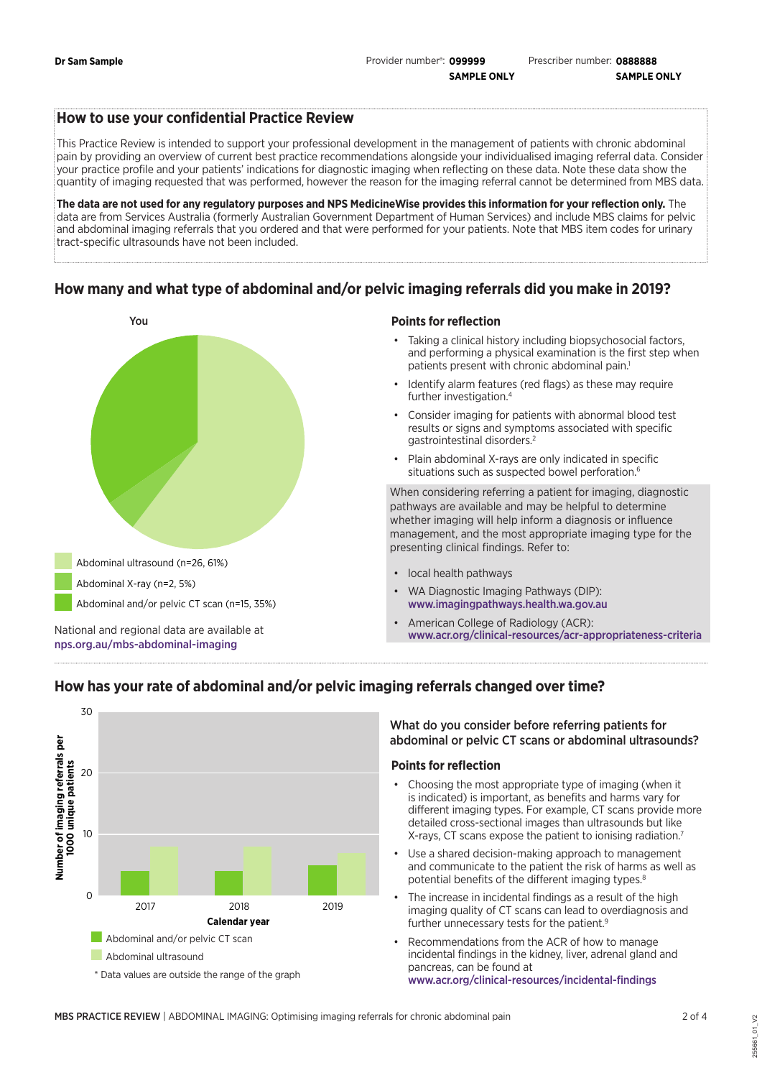## **How to use your confidential Practice Review**

This Practice Review is intended to support your professional development in the management of patients with chronic abdominal pain by providing an overview of current best practice recommendations alongside your individualised imaging referral data. Consider your practice profile and your patients' indications for diagnostic imaging when reflecting on these data. Note these data show the quantity of imaging requested that was performed, however the reason for the imaging referral cannot be determined from MBS data.

**The data are not used for any regulatory purposes and NPS MedicineWise provides this information for your reflection only.** The data are from Services Australia (formerly Australian Government Department of Human Services) and include MBS claims for pelvic and abdominal imaging referrals that you ordered and that were performed for your patients. Note that MBS item codes for urinary tract-specific ultrasounds have not been included.

# **How many and what type of abdominal and/or pelvic imaging referrals did you make in 2019?**



# [nps.org.au/mbs-abdominal-imaging](http://www.nps.org.au/mbs-abdominal-imaging)

- Taking a clinical history including biopsychosocial factors, and performing a physical examination is the first step when patients present with chronic abdominal pain.<sup>1</sup>
- Identify alarm features (red flags) as these may require further investigation.4
- Consider imaging for patients with abnormal blood test results or signs and symptoms associated with specific gastrointestinal disorders.2
- Plain abdominal X-rays are only indicated in specific situations such as suspected bowel perforation.<sup>6</sup>

When considering referring a patient for imaging, diagnostic pathways are available and may be helpful to determine whether imaging will help inform a diagnosis or influence management, and the most appropriate imaging type for the presenting clinical findings. Refer to:

- local health pathways
- WA Diagnostic Imaging Pathways (DIP): www.imagingpathways.health.wa.gov.au
- American College of Radiology (ACR):



# **How has your rate of abdominal and/or pelvic imaging referrals changed over time?**

What do you consider before referring patients for abdominal or pelvic CT scans or abdominal ultrasounds?

#### **Points for reflection**

- Choosing the most appropriate type of imaging (when it is indicated) is important, as benefits and harms vary for different imaging types. For example, CT scans provide more detailed cross-sectional images than ultrasounds but like X-rays, CT scans expose the patient to ionising radiation.<sup>7</sup>
- Use a shared decision-making approach to management and communicate to the patient the risk of harms as well as potential benefits of the different imaging types.<sup>8</sup>
- The increase in incidental findings as a result of the high imaging quality of CT scans can lead to overdiagnosis and further unnecessary tests for the patient.<sup>9</sup>
- Recommendations from the ACR of how to manage incidental findings in the kidney, liver, adrenal gland and pancreas, can be found at www.acr.org/clinical-resources/incidental-findings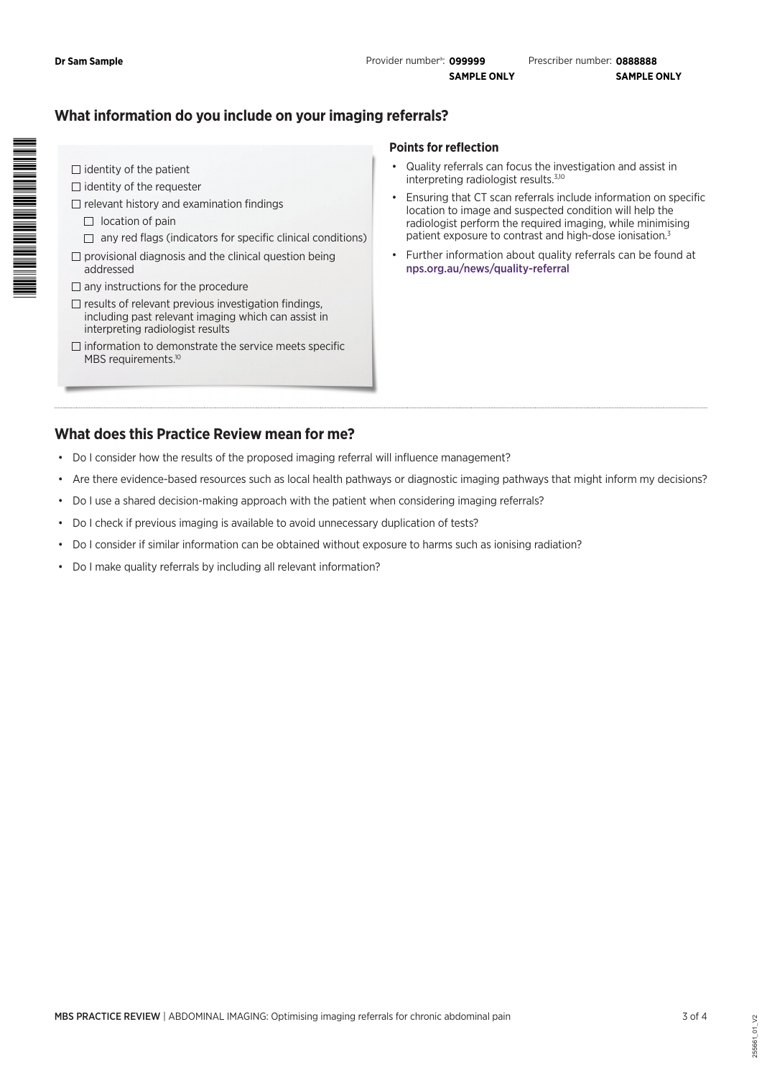# **What information do you include on your imaging referrals?**



- $\Box$  identity of the patient  $\Box$  identity of the requester  $\Box$  relevant history and examination findings
	- $\Box$  location of pain
	- $\Box$  any red flags (indicators for specific clinical conditions)
- $\Box$  provisional diagnosis and the clinical question being addressed
- $\Box$  any instructions for the procedure
- $\Box$  results of relevant previous investigation findings, including past relevant imaging which can assist in interpreting radiologist results
- $\Box$  information to demonstrate the service meets specific MBS requirements.<sup>10</sup>

## **Points for reflection**

- Quality referrals can focus the investigation and assist in interpreting radiologist results.<sup>3,10</sup>
- Ensuring that CT scan referrals include information on specific location to image and suspected condition will help the radiologist perform the required imaging, while minimising patient exposure to contrast and high-dose ionisation.<sup>3</sup>
- Further information about quality referrals can be found at [nps.org.au/news/quality-referral](http://www.nps.org.au/news/quality-referral)

# **What does this Practice Review mean for me?**

- Do I consider how the results of the proposed imaging referral will influence management?
- Are there evidence-based resources such as local health pathways or diagnostic imaging pathways that might inform my decisions ?
- Do I use a shared decision-making approach with the patient when considering imaging referrals?
- Do I check if previous imaging is available to avoid unnecessary duplication of tests?
- Do I consider if similar information can be obtained without exposure to harms such as ionising radiation?
- Do I make quality referrals by including all relevant information?